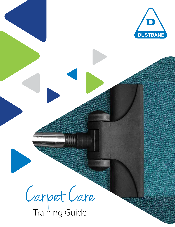

Carpet Care

Training Guide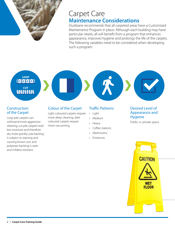

### Carpet Care **Maintenance Considerations**

Dustbane recommends that all carpeted areas have a Customized Maintenance Program in place. Although each building may have particular needs, all will benefit from a program that enhances appearance, improves hygiene and prolongs the life of the carpets. The following variables need to be considered when developing such a program:

# **CUT**<br>**WWW**I LOOP<br>**COOOO**

### **Construction** of the Carpet

Loop pile carpets can withstand more aggressive cleaning; cut pile carpets hold less moisture and therefore dry more quickly; jute backing is subject to staining and causing brown out; and polyester backing is stain and mildew resistant.

### Colour of the Carpet

Light coloured carpets require more deep cleaning; dark coloured carpets require more vacuuming.

### Traffic Patterns

- • Light
- • Medium
- • Heavy
- Coffee stations
- • Washrooms
- • Entrances

### Desired Level of Appearance and Hygiene

Public vs. private space

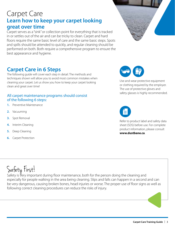### Carpet Care **Learn how to keep your carpet looking great over time**

Carpet serves as a "sink" or collection point for everything that is tracked in or settles out of the air and can be tricky to clean. Carpet and hard floors require the same basic level of care and the same basic steps. Spots and spills should be attended to quickly, and regular cleaning should be performed on both. Both require a comprehensive program to ensure the best appearance and hygiene.

# **Carpet Care in 6 Steps**

The following guide will cover each step in detail. The methods and techniques shown will allow you to avoid most common mistakes when cleaning your carpet. Let us show you how to keep your carpet looking clean and great over time!

### All carpet maintenance programs should consist of the following 6 steps:

- **1.** Preventive Maintenance
- **2.** Vacuuming
- **3.** Spot Removal
- **4.** Interim Cleaning
- **5.** Deep Cleaning
- **6.** Carpet Protection





Use and wear protective equipment or clothing required by the employer. The use of protective gloves and safety glasses is highly recommended.



Refer to product label and safety data sheet (SDS) before use. For complete product information, please consult **www.dustbane.ca**.

# Safety First!

Safety is very important during floor maintenance, both for the person doing the cleaning and especially for people walking in the area being cleaning. Slips and falls can happen in a second and can be very dangerous, causing broken bones, head injuries or worse. The proper use of floor signs as well as following correct cleaning procedures can reduce the risks of injury.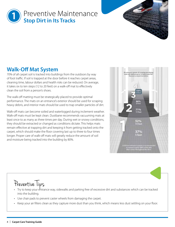



### **Walk-Off Mat System**

70% of all carpet soil is tracked into buildings from the outdoors by way of foot traffic. If soil is trapped at the door before it reaches carpet areas, cleaning time, labour dollars and health risks can be reduced. On average, it takes six to ten steps (12 to 20 feet) on a walk-off mat to effectively clean the soil from a person's shoes.

The walk-off matting must be strategically placed to provide optimal performance. The mats on an entrance's exterior should be used for scraping heavy debris, and interior mats should be used to trap smaller particles of dirt.

Walk-off mats can become soiled and waterlogged during inclement weather. Walk-off mats must be kept clean. Dustbane recommends vacuuming mats at least once to as many as three times per day. During wet or snowy conditions, they should be extracted or changed as conditions dictate. This helps mats remain effective at trapping dirt and keeping it from getting tracked onto the carpet, which should make the floor covering last up to three to four times longer. Proper care of walk-off mats will greatly reduce the amount of soil and moisture being tracked into the building by 80%.



# Preventive Tips

- • Try to keep your entrance way, sidewalks and parking free of excessive dirt and substances which can be tracked into the building.
- Use chair pads to prevent caster wheels from damaging the carpet.
- Keep your air filters clean as they capture more dust than you think, which means less dust settling on your floor.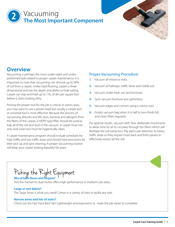### Vacuuming **The Most Important Component 2**

### **Overview**

Vacuuming is perhaps the most under-rated and underperformed task related to proper carpet maintenance. It is important to note that vacuuming can remove up to 90% of soil from a carpet. Unlike hard flooring, carpet is three dimensional and has the depth and ability to hide soiling. Carpet can trap and hold up to 1 lb. of dirt per square foot before it starts looking dirty.

Picking the proper tool for the job is critical. In some cases, you may want to use a power head but usually a carpet tool or universal tool is most effective. Because the process of vacuuming disturbs and lifts dust, bacteria and allergens from the fibers of the carpet, a "HEPA" type filter should be used to trap all of the soil and dust in the vacuum. A carpet must not only look clean but must be hygienically clean.

A carpet maintenance program should include schedules for high traffic and low traffic areas and should have provisions for litter pick up and spot cleaning. A proper vacuuming routine will keep your carpet looking beautiful for years.

### Proper Vacuuming Procedure:

- **1.** Vacuum all entrance mats.
- **2.** Vacuum all hallways, traffic lanes and visible soil.
- **3.** Vacuum under trash can and furniture.
- **4.** Spot vacuum furniture and upholstery.
- **5.** Vacuum edges and corners using a crevice tool.
- **6.** Empty vacuum bag when it is half to two-thirds full, and clean filters regularly.

For optimal results, vacuum with slow deliberate movements to allow time for air to circulate through the fibers which will facilitate the soil extraction. Pay particular attention to heavy traffic areas as they require more back and forth passes to effectively extract all the soil.

Picking the Right Equipment **Mix of bare floors and carpets?**

Pick the Tracker! Its dual motor offers high performance in medium size areas.

#### **Large or wet debris?**

The Targa Series is what you need! Comes in a variety of sizes to tackle any task.

### **Narrow areas and lots of stairs?**

Check out the Fast Track Back Vac! Lightweight and ergonomic to make the job easier to complete.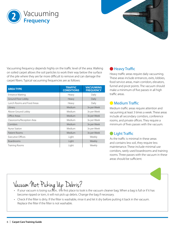



Vacuuming frequency depends highly on the traffic level of the area. Walking on soiled carpet allows the soil particles to work their way below the surface of the pile where they are far more difficult to remove and can damage the carpet fibers. Typical vacuuming frequencies are as follows:

| <b>AREA TYPE</b>                  | <b>TRAFFIC</b><br><b>CONDITIONS</b> | <b>VACUUMING</b><br><b>FREQUENCY</b> |
|-----------------------------------|-------------------------------------|--------------------------------------|
| <b>Entrance Matting</b>           | Heavy                               | Daily                                |
| Ground Floor Lobby                | Heavy                               | Daily                                |
| <b>Lunch Rooms and Food Areas</b> | Heavy                               | Daily                                |
| Library                           | Medium                              | 3x per Week                          |
| Above Ground Lobby                | Medium                              | 3x per Week                          |
| Office Areas                      | Medium                              | 3x per Week                          |
| Classrooms/Reception Area         | Medium                              | 3x per Week                          |
| Corridors                         | Medium                              | 3x per Week                          |
| Nurse Station                     | Medium                              | 3x per Week                          |
| Patient Rooms                     | Medium                              | 3x per Week                          |
| <b>Executive Offices</b>          | Light                               | Weekly                               |
| <b>Boardrooms</b>                 | Light                               | Weekly                               |
| Training Rooms                    | Light                               | Weekly                               |

### **Heavy Traffic**

Heavy traffic areas require daily vacuuming. These areas include entrances, exits, lobbies, food service areas, main corridors, elevators, funnel and pivot points. The vacuum should make a minimum of five passes in all high traffic areas.

### **Medium Traffic**

Medium traffic areas require attention and vacuuming at least 3 times a week. These areas include all secondary corridors, conference rooms, and private offices. They require a minimum of fives passes with the vacuum.

### **C** Light Traffic

As the traffic is minimal in these areas and contains less soil, they require less maintenance. These include minimal use corridors, rarely used boardrooms and training rooms. Three passes with the vacuum in these areas should be sufficient.



- $\cdot$  If your vacuum is losing suction, the first place to look is the vacuum cleaner bag. When a bag is full or if it has become ripped or torn, it will not pick up debris. Change the bag if necessary.
- Check if the filter is dirty. If the filter is washable, rinse it and let it dry before putting it back in the vacuum. Replace the filter if the filter is not washable.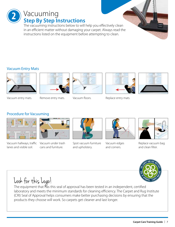Vacuuming **Step By Step Instructions** The vacuuming instructions below to will help you effectively clean

in an efficient matter without damaging your carpet. Always read the instructions listed on the equipment before attempting to clean.

### Vacuum Entry Mats

**2**



Vacuum entry mats. Remove entry mats.





Vacuum floors. Replace entry mats.



### Procedure for Vacuuming



Vacuum hallways, traffic Vacuum under trash lanes and visible soil.



cans and furniture.



Spot vacuum furniture and upholstery.



Vacuum edges and corners.



Replace vacuum bag and clean filter.





The equipment that has this seal of approval has been tested in an independent, certified laboratory and meets the minimum standards for cleaning efficiency. The Carpet and Rug Institute (CRI) Seal of Approval helps consumers make better purchasing decisions by ensuring that the products they choose will work. So carpets get cleaner and last longer.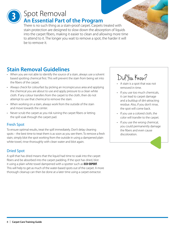

# Spot Removal **An Essential Part of the Program**

There is no such thing as a stain-proof carpet. Carpets treated with stain protection are designed to slow down the absorption of liquids into the carpet fibers, making it easier to clean and allowing more time to attend to it. The longer you wait to remove a spot, the harder it will be to remove it.

## **Stain Removal Guidelines**

- When you are not able to identify the source of a stain, always use a solvent based spotting chemical first. This will prevent the stain from being set into the fibers of the carpet.
- Always check for colourfast by picking an inconspicuous area and applying the chemical you are about to use and apply pressure to a clean white cloth. If any colour transfers from the carpet to the cloth, then do not attempt to use that chemical to remove the stain.
- When working on a stain, always work from the outside of the stain and move towards the center.
- Never scrub the carpet as you risk ruining the carpet fibers or letting the spill soak through the carpet pad.

### Fresh Spot

To ensure optimal results, treat the spill immediately. Don't delay cleaning spots – the best time to treat them is as soon as you see them. To remove a fresh stain, simply blot the spot working from the outside in using a dampened plain white towel, rinse thoroughly with clean water and blot again.

### Dried Spot

A spill that has dried means that the liquid had time to soak into the carpet fibers and be absorbed into the carpet padding. If the spot has dried, blot it using a plain white towel dampened with a spotter such as **Eco-Expert**. This will help to get as much of the water-based spots out of the carpet. A more thorough cleanup can then be done at a later time using a carpet extractor.

# Did You Know?

- • A stain is a spot that was not removed in time.
- If you use too much chemicals, it can lead to carpet damage and a buildup of dirt-attracting residue. Also, if you don't rinse, the spot will come back.
- • If you use a colored cloth, the color will transfer to the carpet.
- If you use the wrong chemical, you could permanently damage the fibers and even cause discoloration.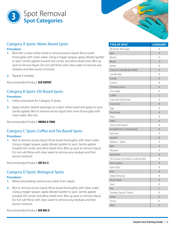



### Category A Spots: Water-Based Spots

#### **Procedure:**

- **1.** Blot with a clean white towel to remove excess liquid. Rinse towel thoroughly with clean water. Using a trigger sprayer, apply diluted spotter to spot. Gently agitate towards the center and allow dwell time. Blot up spot to remove liquid. Do not rub! Rinse with clear water to remove any residues and blot excess moisture.
- **2.** Repeat if needed.

Recommended Product: **Eco-Expert**

### Category B Spots: Oil-Based Spots

#### **Procedure:**

- **1.** Follow procedure for Category A Spots.
- **2.** Apply solvent cleaner sparingly to a clean white towel and apply to spot. Gently agitate. Blot to remove excess liquid then rinse thoroughly with clean water. Blot dry.

Recommended Product: **Orang-A-Tang**

### Category C Spots: Coffee and Tea Based Spots

#### **Procedure:**

**1.** Blot to remove excess liquid. Rinse towel thoroughly with clean water. Using a trigger sprayer, apply diluted spotter to spot. Gently agitate towards the center and allow dwell time. Blot up spot to remove liquid. Do not rub! Rinse with clear water to remove any residues and blot excess moisture.

Recommended Product: **Oxy D.S.T.**

### Category D Spots: Biological Spots

#### **Procedure:**

- **1.** Before proceeding, remove any solids from carpet.
- **2.** Blot to remove excess liquid. Rinse towel thoroughly with clean water. Using a trigger sprayer, apply diluted spotter to spot. Gently agitate towards the center and allow dwell time. Blot up spot to remove liquid. Do not rub! Rinse with clear water to remove any residues and blot excess moisture.

Recommended Product: **Bio-Bac II**

| <b>TYPE OF SPOT</b>                  | <b>CATEGORY</b> |
|--------------------------------------|-----------------|
| Alcoholic Beverage                   | Α               |
| Beer                                 | A               |
| Bleach                               | A               |
| Blood                                | D               |
| <b>Butter</b>                        | Β               |
| Calcium Chloride (Ice Melt)          | $\overline{A}$  |
| Candle Wax                           | B               |
| Candy                                | A               |
| Carbon                               | B               |
| Chewing Gum                          | A               |
| Chocolate                            | A               |
| Coffee                               | $\subset$       |
| Cola and Soft Drinks                 | A               |
| Cosmetics                            | B               |
| Egg                                  | A               |
| Fruit Juice                          | A               |
| Glue                                 | Β               |
| Grass                                | A               |
| Gravy and Sauces                     | Β               |
| Ink (Ball Point / Permanent)         | B               |
| Ketchup                              | A               |
| Lipstick                             | B               |
| Mildew / Mold                        | Α               |
| Milk                                 | A               |
| Mustard                              | A               |
| Nail Polish                          | B               |
| Oil, Grease (Including Cooking Oils) | B               |
| Paint (Latex)                        | A               |
| Paint (Oil)                          | Β               |
| Rust                                 | В               |
| Salad Dressing                       | B               |
| Shoe Polish                          | B               |
| Soot                                 | B               |
| Tea                                  | $\subset$       |
| Tomato (Sauce / Paste)               | A               |
| Urine                                | D               |
| Vomit                                | D               |
| Wine                                 | Α               |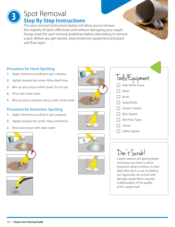### Spot Removal **Step By Step Instructions 3**

The spot removal instructions below will allow you to remove the majority of spots effectively and without damaging your carpet. Always read the spot removal guidelines before attempting to remove a spot. Before you get started, wear protective equipment and place wet floor signs.

### Procedure for Hand Spotting

- **1.** Apply chemical according to spot category.
- **2.** Agitate towards the center. Allow dwell time.
- **3.** Blot up spot using a white towel. Do not rub.
- **4.** Rinse with clean water.
- **5.** Blot up excess moisture using a clean white towel.

### Procedure for Extraction Spotting

- **1.** Apply chemical according to spot category.
- **2.** Agitate towards the center. Allow dwell time.
- **3.** Rinse and extract with clean water.















# Don't Scrub!

Carpet cleaners are getting better and better, but there is still an important detail to follow on their label. Blot, don't scrub. Scrubbing too vigorously can untwist and damage carpet fibers, causing a deterioration of the quality of the carpet itself.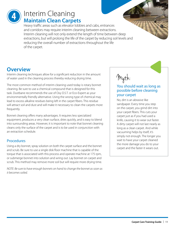

# Interim Cleaning **Maintain Clean Carpets**

Heavy traffic areas such as elevator lobbies and cabs, entrances and corridors may require interim cleaning between extractions. Interim cleaning will not only extend the length of time between deep extractions, but will prolong the life of the carpet by reducing soil levels and reducing the overall number of extractions throughout the life of the carpet.

### **Overview**

Interim cleaning techniques allow for a significant reduction in the amount of water used in the cleaning process thereby reducing drying time.

The most common method of interim cleaning used today is rotary bonnet cleaning. Be sure to use a chemical compound that is designed for this task. Dustbane recommends the use of Oxy D.S.T. or Eco-Expert as your environmentally friendly alternative. Using the wrong type of chemical may lead to excess alkaline residues being left in the carpet fibers. This residue will attract soil and dust and will make it necessary to clean the carpets more frequently.

Bonnet cleaning offers many advantages. It requires less specialized equipment, produces a very clean surface, dries quickly, and is easy to blend into surrounding areas. However, it is important to note that bonnet cleaning cleans only the surface of the carpet and is to be used in conjunction with an extraction schedule.

### **Procedures**

Using a dry bonnet, spray solution on both the carpet surface and the bonnet and scrub. Be sure to use a single disk floor machine that is capable of the torque that is associated with this process and operate machine at 175 rpm, or submerge bonnet into solution and wring out. Lay bonnet on carpet and scrub. This method may remove more soil but will require more drying time.

*NOTE: Be sure to have enough bonnets on hand to change the bonnet as soon as it becomes soiled.*

# Myth:

### You should wait as long as possible before cleaning your carpet

No, dirt is an abrasive like sandpaper. Every time you step on the carpet, you grind dirt into your carpet fibers. This cuts your carpet just as if you had used a knife, causing it to wear out faster. A dirty carpet will not last nearly as long as a clean carpet. And while vacuuming helps by itself, it's simply not enough. The longer you wait to have your carpet cleaned the more damage you do to your carpet and the faster it wears out.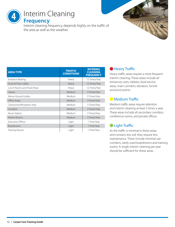# Interim Cleaning

**Frequency**

**4**

Interim cleaning frequency depends highly on the traffic of the area as well as the weather.

| <b>AREA TYPE</b>                  | <b>TRAFFIC</b><br><b>CONDITIONS</b> | <b>INTERING</b><br><b>CLEANING</b><br><b>FREQUENCY</b> |
|-----------------------------------|-------------------------------------|--------------------------------------------------------|
| <b>Entrance Matting</b>           | Heavy                               | 12 Times/Year                                          |
| Ground Floor Lobby                | Heavy                               | 12 Times/Year                                          |
| <b>Lunch Rooms and Food Areas</b> | Heavy                               | 12 Times/Year                                          |
| Library                           | Medium                              | 3 Times/Year                                           |
| Above Ground Lobby                | Medium                              | 3 Times/Year                                           |
| Office Areas                      | Medium                              | 3 Times/Year                                           |
| Classrooms/Reception Area         | Medium                              | 3 Times/Year                                           |
| Corridors                         | Medium                              | 3 Times/Year                                           |
| Nurse Station                     | Medium                              | 3 Times/Year                                           |
| Patient Rooms                     | Medium                              | 3 Times/Year                                           |
| <b>Executive Offices</b>          | Light                               | 1 Time/Year                                            |
| <b>Boardrooms</b>                 | Light                               | 1 Time/Year                                            |
| Training Rooms                    | Light                               | 1 Time/Year                                            |

### **Heavy Traffic**

Heavy traffic areas require a more frequent interim cleaning. These areas include all entrances, exits, lobbies, food service areas, main corridors, elevators, funnel and pivot points.

### **Medium Traffic**

Medium traffic areas require attention and interim cleaning at least 3 times a year. These areas include all secondary corridors, conference rooms, and private offices.

### **C** Light Traffic

As the traffic is minimal in these areas and contains less soil, they require less maintenance. These include minimal use corridors, rarely used boardrooms and training rooms. A single interim cleaning per year should be sufficient for these areas.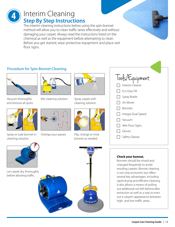

# Interim Cleaning **Step By Step Instructions**

The interim cleaning instructions below using the spin bonnet method will allow you to clean traffic lanes effectively and without damaging your carpet. Always read the instructions listed on the chemical as well as the equipment before attempting to clean. Before you get started, wear protective equipment and place wet floor signs.

### Procedure for Spin Bonnet Cleaning



Vacuum thoroughly and remove all spots.



Spray or soak bonnet in cleaning solution.



Mix cleaning solution. Spray carpet with



Overlap your passes. Flip, change or rinse



cleaning solution.



bonnet as needed.



### **Check your bonnet.**

Bonnets should be rinsed and changed frequently to avoid resoiling carpets. Bonnet cleaning is not only economic but offers several key advantages, including rapid drying and efficient cleaning. It also allows a means of pulling out additional soil left behind after extraction as well as a way to even out a carpet's appearance between high- and low-traffic areas.



Let carpet dry thoroughly before allowing traffic.

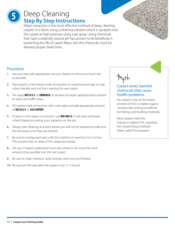# Deep Cleaning **Step By Step Instructions**

Water extraction is the most effective method of deep cleaning carpets. It is done using a cleaning solution which is sprayed onto the carpet at high pressure using a jet spray. Using chemicals that have a relatively neutral pH has proven to be beneficial in protecting the life of carpet fibers, but the chemicals must be allowed proper dwell time.



### Procedure

**5**

- **1.** Vacuum area with appropriate vacuum cleaner to remove as much soil as possible.
- **2.** Place plastic or foil sheets under all wooden or metal furniture legs to stop colour transfer and rust from staining the wet carpet.
- **3.** Pre-spray **Oxy D.S.T.** or **Emerald** on all areas of carpet, applying extra solution to stains and traffic lanes.
- **4.** Fill solution tank of machine with cold water and add appropriate amount of **Oxy D.S.T.** or **Eco-Expert**.
- **5.** If odour in the carpet is a concern, use **Bio-Bac II**, it will clean and leave a fresh fragrance putting, your signature on the job.
- **6.** Always start cleaning at a point where you will not be required to walk over the wet areas once they are cleaned.
- **7.** Be sure to overlap each pass with the machine or wand by 4 or 5 inches. This ensures that no areas of the carpet are missed.
- **8.** Set up a 3 speed carpet dryer in an area where it can move the most amount of air possible over the wet carpet.
- **9.** Be sure to clean machine, tanks and jets when you are finished.
- **10.** Re-vacuum the area after the carpet is dry. (1-4 hours)

Myth:

### Carpet emits harmful chemicals that cause health problems

No, carpet is one of the lowest emitters of VOCs (volatile organic compounds) among household furnishings and building materials.

Most carpets meet the industry's highest VOC standard, the Carpet & Rug Institute's Green Label Plus program.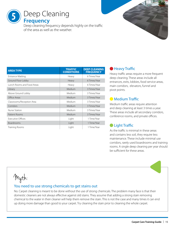Deep Cleaning **Frequency 5**

Deep cleaning frequency depends highly on the traffic of the area as well as the weather.

| <b>AREA TYPE</b>                  | <b>TRAFFIC</b><br><b>CONDITIONS</b> | <b>DEEP CLEANING</b><br><b>FREQUENCY</b> |
|-----------------------------------|-------------------------------------|------------------------------------------|
| <b>Entrance Matting</b>           | Heavy                               | 6 Times/Year                             |
| Ground Floor Lobby                | Heavy                               | 6 Times/Year                             |
| <b>Lunch Rooms and Food Areas</b> | Heavy                               | 6 Times/Year                             |
| Library                           | Medium                              | 3 Times/Year                             |
| Above Ground Lobby                | Medium                              | 3 Times/Year                             |
| Office Areas                      | Medium                              | 3 Times/Year                             |
| Classrooms/Reception Area         | Medium                              | 3 Times/Year                             |
| Corridors                         | Medium                              | 3 Times/Year                             |
| Nurse Station                     | Medium                              | 3 Times/Year                             |
| Patient Rooms                     | Medium                              | 3 Times/Year                             |
| <b>Executive Offices</b>          | Light                               | 1 Time/Year                              |
| <b>Boardrooms</b>                 | Light                               | 1 Time/Year                              |
| Training Rooms                    | Light                               | 1 Time/Year                              |

### **Heavy Traffic**

Heavy traffic areas require a more frequent deep cleaning. These areas include all entrances, exits, lobbies, food service areas, main corridors, elevators, funnel and pivot points.

### **Medium Traffic**

Medium traffic areas require attention and deep cleaning at least 3 times a year. These areas include all secondary corridors, conference rooms, and private offices.

### **C** Light Traffic

As the traffic is minimal in these areas and contains less soil, they require less maintenance. These include minimal use corridors, rarely used boardrooms and training rooms. A single deep cleaning per year should be sufficient for these areas.

# Myth:

### You need to use strong chemicals to get stains out

No. Carpet cleaning is meant to be done without the use of strong chemicals. The problem many face is that their domestic cleaners are not always effective against old stains. They assume that adding a strong stain removing chemical to the water in their cleaner will help them remove the stain. This is not the case and many times it can end up doing more damage than good to your carpet. Try cleaning the stain prior to cleaning the whole carpet.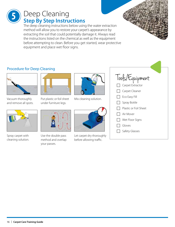### Deep Cleaning **Step By Step Instructions 5**

The deep cleaning instructions below using the water extraction method will allow you to restore your carpet's appearance by extracting the soil that could potentially damage it. Always read the instructions listed on the chemical as well as the equipment before attempting to clean. Before you get started, wear protective equipment and place wet floor signs.

### Procedure for Deep Cleaning



Vacuum thoroughly and remove all spots.

Spray carpet with cleaning solution.



Put plastic or foil sheet under furniture legs.



Use the double pass method and overlap your passes.



Mix cleaning solution.



Let carpet dry thoroughly before allowing traffic.

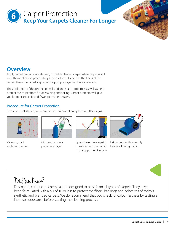

### **Overview**

Apply carpet protection, if desired, to freshly cleaned carpet while carpet is still wet. This application process helps the protector to bind to the fibers of the carpet. Use either a pistol sprayer or a pump sprayer for this application.

The application of this protection will add anti-static properties as well as help protect the carpet from future staining and soiling. Carpet protector will give you longer carpet life and fewer permanent stains.

### Procedure for Carpet Protection

Before you get started, wear protective equipment and place wet floor signs.



Vacuum, spot and clean carpet.



Mix products in a pressure sprayer.



one direction, then again before allowing traffic. in the opposite direction.



Spray the entire carpet in Let carpet dry thoroughly



Dustbane's carpet care chemicals are designed to be safe on all types of carpets. They have been formulated with a pH of 10 or less to protect the fibers, backings and adhesives of today's synthetic and blended carpets. We do recommend that you check for colour fastness by testing an inconspicuous area, before starting the cleaning process.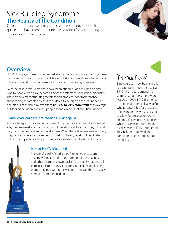# Sick Building Syndrome **The Reality of the Condition**

Carpets and mats play a major role with respect to indoor air quality and have come under increased attack for contributing to Sick Building Syndrome.

### **Overview**

Sick Building Syndrome was at first believed to be nothing more than an excuse for workers to book off work on sick leave, but studies have shown that not only is it a real condition, but its presence is more common today than ever.

Over the past several years, there have been hundreds of law suits filed and won by people who have become ill from the effects of poor indoor air quality. There are several contributing factors to this problem; poor maintenance and cleaning of carpeted areas is considered to be high on the list. Indoor air pollution is considered by experts to be **10% to 20% more toxic** than average outdoor air pollution and most people spend over 80% of their time indoors.

### Think your carpets are clean? Think again!

Although carpets, mats and upholstered furniture may look clean to the naked eye, they are usually home to microscopic levels of soil, food particles, skin and hair, moisture, bacteria and other allergens. When these allergens are disturbed, they can become airborne and end up being inhaled, causing illness in the building occupants, leading to increased absenteeism and lost productivity.



### Go for HEPA filtration!

The use of a "HEPA" media type filter on your vacuum system will greatly reduce the amount of dust, bacteria and other allergens blown back into the air. By trapping all particulate larger than 0.3 microns in the filter and keeping them contained within the vacuum, they can then be safely removed from the building.

# Did You Know?

Employers can now be criminally liable for poor indoor air quality: Bill C-45, an act to amend the Criminal Code, became law on March 31, 2004. Bill-C45 amends the criminal code to clearly define who is responsible for the safety of persons in the workplace and to allow for prosecution under charges of "criminal negligence" when those responsibilities are recklessly or willfully disregarded. This includes poor working conditions due to poor indoor air quality.